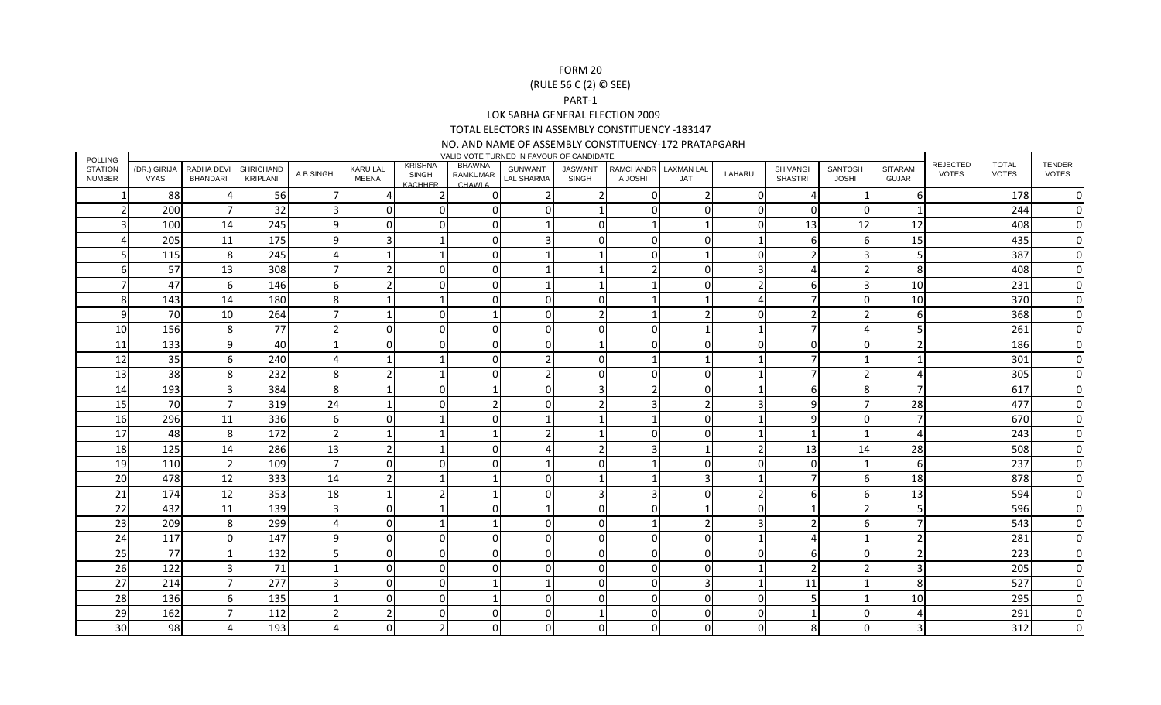## FORM 20 (RULE 56 C (2) © SEE)PART-1 LOK SABHA GENERAL ELECTION 2009 TOTAL ELECTORS IN ASSEMBLY CONSTITUENCY -183147

NO. AND NAME OF ASSEMBLY CONSTITUENCY-172 PRATAPGARH

| <b>POLLING</b>                  | VALID VOTE TURNED IN FAVOUR OF CANDIDATE<br><b>REJECTED</b><br><b>TOTAL</b><br><b>KRISHNA</b><br>BHAWNA |                               |                              |                          |                                 |                                |                    |                              |                                |                             |                                 |              |                                   |                         |                                |              |              |                        |
|---------------------------------|---------------------------------------------------------------------------------------------------------|-------------------------------|------------------------------|--------------------------|---------------------------------|--------------------------------|--------------------|------------------------------|--------------------------------|-----------------------------|---------------------------------|--------------|-----------------------------------|-------------------------|--------------------------------|--------------|--------------|------------------------|
| <b>STATION</b><br><b>NUMBER</b> | (DR.) GIRIJA<br><b>VYAS</b>                                                                             | RADHA DEVI<br><b>BHANDARI</b> | <b>SHRICHAND</b><br>KRIPLANI | A.B.SINGH                | <b>KARU LAL</b><br><b>MEENA</b> | <b>SINGH</b><br><b>KACHHER</b> | RAMKUMAR<br>CHAWLA | <b>GUNWANT</b><br>LAL SHARMA | <b>JASWANT</b><br><b>SINGH</b> | <b>RAMCHANDR</b><br>A JOSHI | <b>LAXMAN LAL</b><br><b>JAT</b> | LAHARU       | <b>SHIVANGI</b><br><b>SHASTRI</b> | SANTOSH<br><b>JOSHI</b> | <b>SITARAM</b><br><b>GUJAR</b> | <b>VOTES</b> | <b>VOTES</b> | TENDER<br><b>VOTES</b> |
|                                 | 88                                                                                                      |                               | 56                           | 7                        | Δ                               |                                | $\Omega$           | 2                            |                                | $\Omega$                    |                                 | $\Omega$     | $\boldsymbol{\Delta}$             | $\mathbf{1}$            | 6                              |              | 178          | $\Omega$               |
|                                 | 200                                                                                                     |                               | 32                           | 3                        | O                               | $\Omega$                       | $\Omega$           | $\Omega$                     |                                | $\Omega$                    | $\Omega$                        | $\Omega$     | 0                                 | $\overline{0}$          | $\mathbf{1}$                   |              | 244          | $\Omega$               |
|                                 | 100                                                                                                     | 14                            | 245                          | 9                        |                                 | O                              | 0                  |                              |                                |                             |                                 | <sup>n</sup> | 13                                | 12                      | 12                             |              | 408          | $\Omega$               |
|                                 | 205                                                                                                     | 11                            | 175                          | q                        |                                 |                                | O                  |                              |                                |                             |                                 |              | 6                                 | 6                       | 15                             |              | 435          | $\Omega$               |
|                                 | 115                                                                                                     | 8                             | 245                          |                          |                                 |                                | O                  |                              |                                |                             |                                 | $\cap$       | 2                                 | 3                       | 5                              |              | 387          |                        |
|                                 | 57                                                                                                      | 13                            | 308                          |                          |                                 |                                | 0                  |                              |                                |                             |                                 |              |                                   | 2                       | 8                              |              | 408          |                        |
|                                 | 47                                                                                                      | 6                             | 146                          | 6                        |                                 | ∩                              | $\Omega$           |                              |                                |                             |                                 |              | 6                                 | 3                       | 10                             |              | 231          | $\Omega$               |
| 8                               | 143                                                                                                     | 14                            | 180                          | 8                        |                                 |                                | O                  | O                            |                                |                             |                                 |              | 7                                 | $\Omega$                | 10                             |              | 370          | $\Omega$               |
| q                               | 70                                                                                                      | 10                            | 264                          | 7                        |                                 | 0                              |                    | O                            |                                |                             |                                 | $\cap$       | 2                                 | 2                       | 6                              |              | 368          | $\Omega$               |
| <b>10</b>                       | 156                                                                                                     | 8                             | 77                           |                          | n                               |                                | ŋ                  | O                            |                                | $\Omega$                    |                                 |              |                                   | 4                       | 5                              |              | 261          | $\Omega$               |
| 11                              | 133                                                                                                     | O                             | 40                           |                          |                                 |                                | U                  |                              |                                |                             |                                 | <sup>n</sup> | $\Omega$                          | $\Omega$                | $\overline{\phantom{a}}$       |              | 186          | $\Omega$               |
| 12                              | 35                                                                                                      | 6                             | 240                          |                          |                                 |                                | ŋ                  | 2                            |                                |                             |                                 |              |                                   | 1                       |                                |              | 301          | <sup>0</sup>           |
| 13                              | 38                                                                                                      |                               | 232                          | 8                        |                                 |                                | 0                  |                              |                                |                             |                                 |              |                                   | 2                       |                                |              | 305          | 0                      |
| 14                              | 193                                                                                                     |                               | 384                          | 8                        |                                 |                                |                    | n                            |                                |                             |                                 |              | 6                                 | 8                       | 7                              |              | 617          | $\Omega$               |
| 15                              | 70                                                                                                      |                               | 319                          | 24                       |                                 |                                |                    |                              |                                |                             |                                 |              | 9                                 | 7                       | 28                             |              | 477          | 0                      |
| 16                              | 296                                                                                                     | 11                            | 336                          | 6                        |                                 |                                |                    |                              |                                |                             |                                 |              | 9                                 | $\overline{0}$          | $\overline{7}$                 |              | 670          | <sup>0</sup>           |
| 17                              | 48                                                                                                      | 8                             | 172                          | $\overline{\phantom{a}}$ |                                 |                                |                    | 2                            |                                | <sup>0</sup>                |                                 |              | -1                                | 1                       | $\boldsymbol{\Delta}$          |              | 243          | $\Omega$               |
| 18                              | 125                                                                                                     | 14                            | 286                          | 13                       |                                 |                                | ŋ                  |                              |                                |                             |                                 |              | 13                                | 14                      | 28                             |              | 508          |                        |
| 19                              | 110                                                                                                     |                               | 109                          | $\overline{7}$           |                                 |                                | ŋ                  |                              |                                |                             |                                 | $\cap$       | $\Omega$                          | 1                       | 6                              |              | 237          |                        |
| 20                              | 478                                                                                                     | 12                            | 333                          | 14                       |                                 |                                |                    | n                            |                                |                             |                                 |              |                                   | 6                       | 18                             |              | 878          | $\Omega$               |
| 21                              | 174                                                                                                     | 12                            | 353                          | 18                       |                                 |                                |                    | n                            |                                |                             |                                 | C.           | 6                                 | 6                       | 13                             |              | 594          | $\Omega$               |
| 22                              | 432                                                                                                     | 11                            | 139                          | 3                        | $\Omega$                        |                                | O                  |                              |                                | $\Omega$                    |                                 | $\Omega$     |                                   | $\overline{2}$          | 5                              |              | 596          | $\Omega$               |
| 23                              | 209                                                                                                     | 8                             | 299                          |                          | ∩                               |                                |                    | O                            |                                |                             |                                 | ₹            | 2                                 | 6                       | $\overline{7}$                 |              | 543          | <sup>0</sup>           |
| 24                              | 117                                                                                                     |                               | 147                          | q                        |                                 | ŋ                              | U                  | n                            |                                |                             |                                 |              |                                   | 1                       | $\overline{\phantom{a}}$       |              | 281          | $\Omega$               |
| 25                              | 77                                                                                                      |                               | 132                          | 5                        |                                 | O                              | 0                  | O                            |                                | $\Omega$                    |                                 | $\Omega$     | 6                                 | $\overline{0}$          | $\overline{2}$                 |              | 223          |                        |
| 26                              | 122                                                                                                     |                               | 71                           |                          |                                 |                                |                    |                              |                                | n                           |                                 |              | 2                                 | $\overline{2}$          | 3                              |              | 205          | <sup>0</sup>           |
| 27                              | 214                                                                                                     |                               | 277                          |                          |                                 |                                |                    |                              |                                |                             |                                 |              | 11                                | 1                       | 8                              |              | 527          | $\Omega$               |
| 28                              | 136                                                                                                     | h                             | 135                          |                          |                                 |                                |                    |                              |                                |                             |                                 | $\cap$       | 5                                 | 1                       | 10                             |              | 295          | $\Omega$               |
| 29                              | 162                                                                                                     |                               | 112                          |                          |                                 |                                |                    |                              |                                |                             |                                 | $\cap$       | $\mathbf 1$                       | 0                       | Δ                              |              | 291          | $\Omega$               |
| 30                              | 98                                                                                                      |                               | 193                          |                          |                                 |                                |                    |                              |                                |                             |                                 | n            | 8                                 | $\Omega$                | 3                              |              | 312          | 0                      |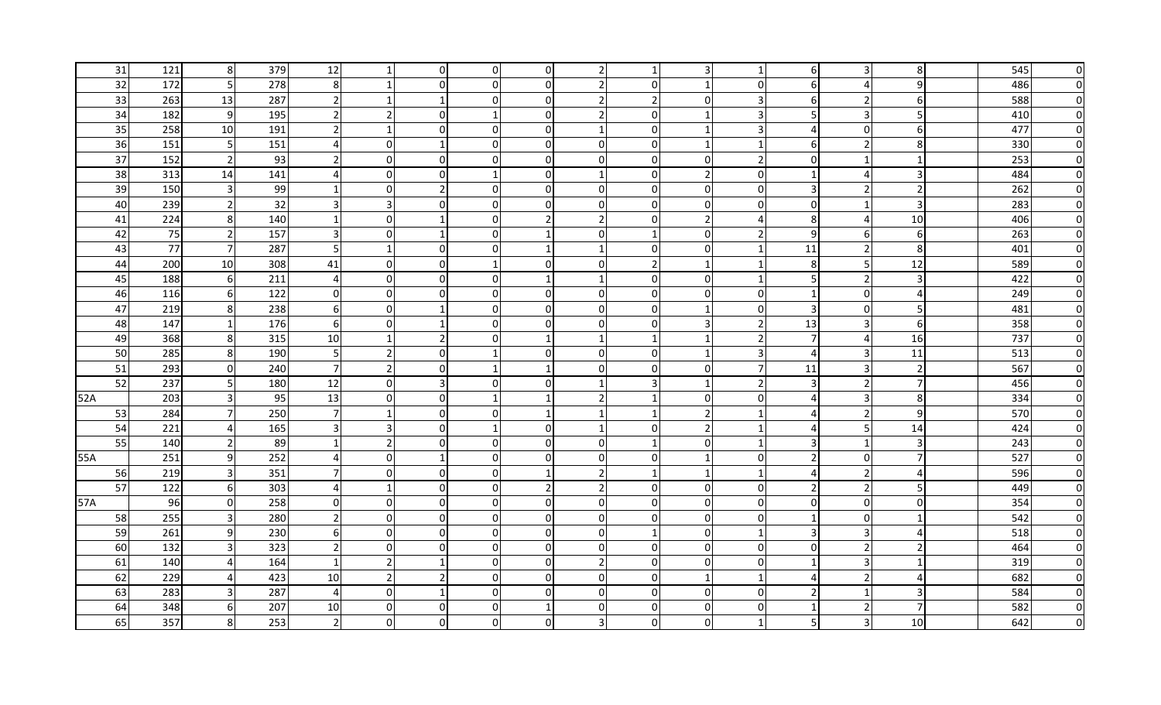| 31              | 121 | 8 <sup>°</sup>          | 379 | 12             |                          | $\overline{0}$ | $\overline{0}$ | $\overline{0}$ |                |              |                          |                | -6             | 3              | 8                | 545 | 0            |
|-----------------|-----|-------------------------|-----|----------------|--------------------------|----------------|----------------|----------------|----------------|--------------|--------------------------|----------------|----------------|----------------|------------------|-----|--------------|
| 32              | 172 | 5                       | 278 | 8 <sup>1</sup> |                          | $\Omega$       | $\mathbf 0$    | $\Omega$       | $\overline{2}$ |              | -1                       | $\Omega$       | -6             | 4              | 9                | 486 | $\Omega$     |
| 33              | 263 | 13                      | 287 | $\overline{2}$ | -1                       |                | $\mathbf 0$    | $\overline{0}$ | $\overline{2}$ |              | $\mathbf{0}$             | 3              | 6              | 2              | 6 <sup>1</sup>   | 588 | <sup>0</sup> |
| 34              | 182 | 9                       | 195 | 21             | 2                        | $\Omega$       |                | $\Omega$       | $\overline{2}$ | $\Omega$     | -1                       | 3              | .5             | 3              | 5                | 410 |              |
| 35              | 258 | 10                      | 191 | $\overline{2}$ | -1                       | $\mathbf 0$    | $\overline{0}$ | $\overline{0}$ |                | 0            | -1                       | 3              | $\overline{a}$ | $\overline{0}$ | 6                | 477 |              |
| 36              | 151 | 5 <sub>l</sub>          | 151 | $\overline{4}$ | $\Omega$                 | $\mathbf 1$    | $\overline{0}$ | $\Omega$       | $\overline{0}$ | $\Omega$     | -1                       | -1             | 6              | $\overline{2}$ | 8                | 330 |              |
| 37              | 152 | $\overline{2}$          | 93  | $\overline{2}$ | $\Omega$                 | $\overline{0}$ | 0              | $\Omega$       | $\Omega$       | $\Omega$     | $\Omega$                 | $\overline{2}$ | $\Omega$       | $\mathbf 1$    | $\mathbf{1}$     | 253 |              |
| 38              | 313 | 14                      | 141 | $\overline{4}$ | $\Omega$                 | $\Omega$       |                | $\Omega$       |                |              | $\mathcal{P}$            | $\Omega$       | $\mathbf 1$    | 4              | 3                | 484 |              |
| 39              | 150 | $\mathbf{3}$            | 99  |                | $\Omega$                 | $\mathcal{P}$  | 0              | $\overline{0}$ | 0              |              | $\overline{0}$           | 0              | 3              | $\mathbf 2$    | $\overline{2}$   | 262 |              |
| 40              | 239 | $\overline{2}$          | 32  | $\overline{3}$ | $\overline{3}$           | $\Omega$       | $\mathbf 0$    | $\Omega$       | $\Omega$       | $\mathbf{0}$ | $\overline{0}$           | $\Omega$       | $\mathbf 0$    | $\mathbf{1}$   | $\overline{3}$   | 283 |              |
| 41              | 224 | 8 <sup>°</sup>          | 140 |                | $\Omega$                 |                | $\mathbf 0$    | $\mathcal{P}$  | $\overline{2}$ | $\Omega$     | $\overline{\phantom{a}}$ | 4              | 8              | 4              | 10               | 406 |              |
| 42              | 75  | 2                       | 157 | $\overline{3}$ | $\Omega$                 | $\mathbf 1$    | $\Omega$       |                | $\Omega$       |              | $\Omega$                 | $\overline{2}$ | 9              | $6 \mid$       | 6                | 263 | $\Omega$     |
| 43              | 77  | $7 \overline{ }$        | 287 | 5              | $\mathbf{1}$             | $\Omega$       | 0              |                |                | <sup>0</sup> | 0                        |                | 11             | $\overline{2}$ | 8                | 401 | $\Omega$     |
| 44              | 200 | 10                      | 308 | 41             | $\Omega$                 | $\Omega$       | $\mathbf 1$    | $\Omega$       | $\Omega$       |              | -1                       | $\mathbf{1}$   | 8              | 5 <sup>1</sup> | 12               | 589 | $\Omega$     |
| 45              | 188 | 6                       | 211 | 4              | $\Omega$                 | $\Omega$       | 0              |                |                | 0            | 0                        | -1             | 5              | 2              | $\overline{3}$   | 422 | n            |
| 46              | 116 | 6                       | 122 | 0              | $\Omega$                 | $\Omega$       | 0              | $\overline{0}$ | $\Omega$       | $\Omega$     | 0                        | $\Omega$       | 1              | $\overline{0}$ | $\overline{4}$   | 249 | n            |
| 47              | 219 | 8 <sup>°</sup>          | 238 | $6 \mid$       | $\overline{0}$           |                | 0              | $\Omega$       | 0              | $\Omega$     | -1                       | 0              | $\mathsf{3}$   | $\overline{0}$ | 5                | 481 |              |
| 48              | 147 | $\mathbf{1}$            | 176 | $6 \mid$       | $\Omega$                 |                | 0              | $\Omega$       | $\Omega$       | $\Omega$     | 3                        | $\overline{2}$ | 13             | 3              | $6 \overline{6}$ | 358 |              |
| 49              | 368 | 8                       | 315 | 10             | -1                       | 2              | 0              |                |                |              | -1                       | $\overline{2}$ | 7              | 4              | 16               | 737 |              |
| 50              | 285 | 8 <sup>1</sup>          | 190 | 5 <sub>l</sub> | 2                        | 0              |                | $\overline{0}$ | $\Omega$       |              | -1                       | 3              | $\overline{a}$ | 3              | 11               | 513 |              |
| 51              | 293 | $\overline{0}$          | 240 | $7 \mid$       | $\overline{2}$           | $\overline{0}$ |                | 1              | $\Omega$       | $\Omega$     | $\overline{0}$           | 7              | 11             | 3              | $\overline{2}$   | 567 |              |
| 52              | 237 | 5                       | 180 | 12             | 0                        | 3              | 0              | $\Omega$       |                |              | -1                       | $\overline{2}$ | $\overline{3}$ | $\overline{2}$ | $\overline{7}$   | 456 |              |
| 52A             | 203 | $\overline{\mathbf{3}}$ | 95  | 13             | $\Omega$                 | $\Omega$       |                |                | $\overline{2}$ |              | $\mathbf{0}$             | $\Omega$       | 4              | 3              | 8                | 334 |              |
| 53              | 284 | $7 \overline{ }$        | 250 | 71             | -1                       | $\overline{0}$ | 0              |                |                |              | $\mathcal{P}$            |                | $\Delta$       | $\overline{2}$ | $\overline{9}$   | 570 |              |
| 54              | 221 | 4                       | 165 |                | 3                        | 0              |                | $\overline{0}$ |                |              | $\overline{z}$           |                |                | 5              | 14               | 424 |              |
| $\overline{55}$ | 140 | $\overline{2}$          | 89  |                | $\mathcal{P}$            | $\overline{0}$ | 0              | $\overline{0}$ | $\overline{0}$ |              | $\overline{0}$           |                | 3              | -1             | $\overline{3}$   | 243 |              |
| 55A             | 251 | 9                       | 252 | $\overline{4}$ | $\Omega$                 |                | 0              | $\Omega$       | $\Omega$       | 0            | -1                       | 0              | 2              | $\overline{0}$ | $\overline{7}$   | 527 |              |
| 56              | 219 | $\mathbf{3}$            | 351 | 7 <sup>1</sup> | 0                        | $\overline{0}$ | $\overline{0}$ |                | $\overline{2}$ |              | -1                       |                | 4              | 2              | $\overline{4}$   | 596 |              |
| 57              | 122 | 6                       | 303 | $\overline{4}$ | -1                       | $\overline{0}$ | $\overline{0}$ | 2              | $\overline{2}$ | $\Omega$     | $\overline{0}$           | 0              | 2              | $\overline{2}$ | 5 <sup>1</sup>   | 449 |              |
| 57A             | 96  | $\overline{0}$          | 258 | $\overline{0}$ | 0                        | $\overline{0}$ | 0              | $\Omega$       | $\Omega$       | 0            | 0 I                      | 0              | 0              | $\overline{0}$ | $\overline{0}$   | 354 |              |
| 58              | 255 | $\overline{\mathbf{3}}$ | 280 | $\overline{2}$ | $\Omega$                 | $\Omega$       | 0              | $\Omega$       | $\Omega$       | $\Omega$     | $\Omega$                 | $\Omega$       | $\mathbf 1$    | $\Omega$       |                  | 542 |              |
| 59              | 261 | $9\,$                   | 230 | $6 \mid$       | 0                        | $\mathbf 0$    | 0              | $\overline{0}$ | $\overline{0}$ |              | $\overline{0}$           |                | 3              | 3              | $\Delta$         | 518 |              |
| 60              | 132 | $\overline{3}$          | 323 | $\overline{2}$ | $\Omega$                 | $\Omega$       | $\mathbf 0$    | $\Omega$       | $\Omega$       | $\mathbf{0}$ | $\Omega$                 | $\Omega$       | $\mathbf 0$    | $\overline{2}$ | $\overline{2}$   | 464 |              |
| 61              | 140 |                         | 164 | $\mathbf{1}$   | $\overline{\phantom{a}}$ |                | $\Omega$       | $\Omega$       | $\overline{2}$ | $\Omega$     | $\mathbf{0}$             | $\Omega$       | $\mathbf{1}$   | 3              | $\mathbf{1}$     | 319 |              |
| 62              | 229 | 4                       | 423 | 10             | $\overline{2}$           | $\mathcal{I}$  | $\Omega$       | $\Omega$       | $\Omega$       |              | -1                       | -1             | $\overline{a}$ | $\overline{2}$ | 4                | 682 |              |
| 63              | 283 | $\overline{3}$          | 287 | $\overline{4}$ | $\Omega$                 |                | 0              | 0              | $\Omega$       |              | $\Omega$                 | $\Omega$       | $\mathcal{P}$  | 1              | 3                | 584 |              |
| 64              | 348 | $6 \mid$                | 207 | 10             | $\Omega$                 | $\Omega$       | 0              |                | $\Omega$       |              | $\Omega$                 | $\Omega$       | $\mathbf{1}$   | $\overline{2}$ | $\overline{7}$   | 582 |              |
| 65              | 357 | 8                       | 253 | 21             | <sup>0</sup>             | $\Omega$       | 0              | U              |                |              | 0                        |                | 5              | $\overline{3}$ | 10               | 642 |              |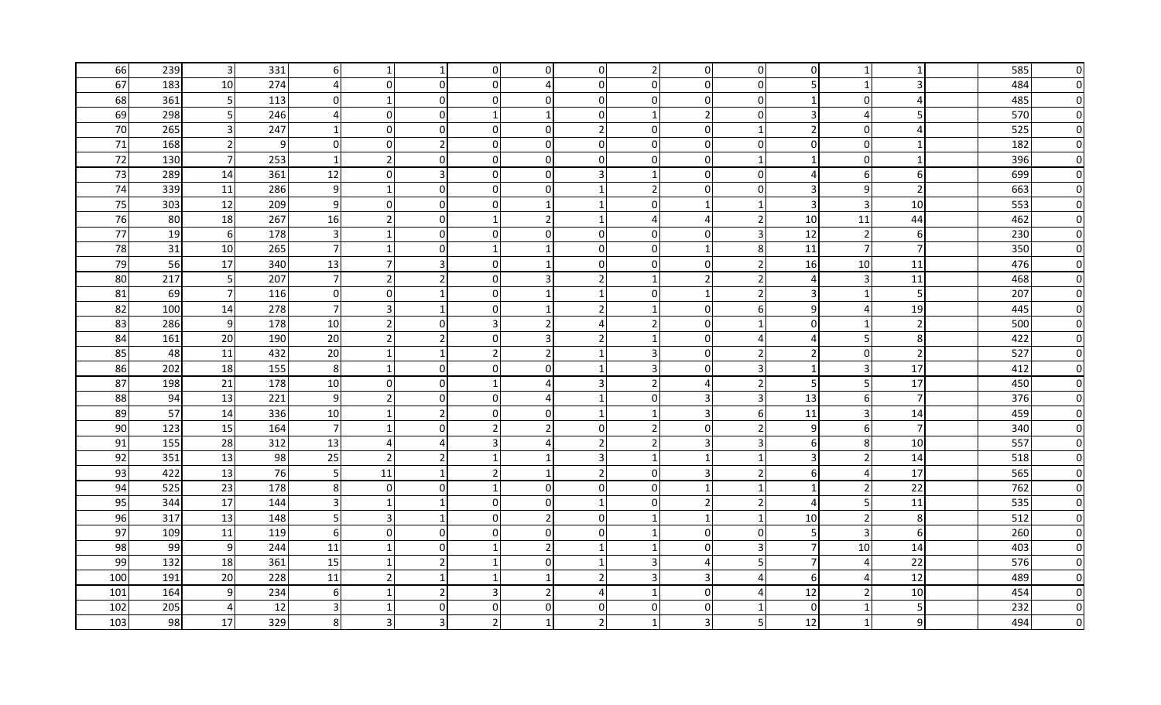| 66  | 239 | $\mathbf{3}$   | 331 | 61                      |                | 1              | 0              | 0                        | $\overline{0}$          |              | 0I             | 0                     | 0              | 1              | 1                | 585 | 0        |
|-----|-----|----------------|-----|-------------------------|----------------|----------------|----------------|--------------------------|-------------------------|--------------|----------------|-----------------------|----------------|----------------|------------------|-----|----------|
| 67  | 183 | 10             | 274 |                         | $\Omega$       | $\mathbf 0$    | $\mathbf{0}$   |                          | $\overline{0}$          |              | $\Omega$       | $\Omega$              | 5              | $\mathbf{1}$   | $\overline{3}$   | 484 | $\Omega$ |
| 68  | 361 | - 5 I          | 113 | 0                       | -1             | $\mathbf 0$    | $\Omega$       | $\Omega$                 | $\Omega$                |              | $\overline{0}$ | 0                     | $\mathbf{1}$   | $\overline{0}$ | 4                | 485 |          |
| 69  | 298 | 5 <sub>l</sub> | 246 | $\overline{4}$          | $\overline{0}$ | $\mathbf 0$    |                |                          | $\overline{0}$          |              | $\overline{2}$ | 0                     | 3              | 4              | 5 <sup>1</sup>   | 570 |          |
| 70  | 265 | $\overline{3}$ | 247 | $\overline{1}$          | $\overline{0}$ | $\overline{0}$ | 0              | 0l                       | $\overline{2}$          | $\Omega$     | $\overline{0}$ | 1                     | $\overline{2}$ | $\overline{0}$ | 4                | 525 |          |
| 71  | 168 | $\overline{2}$ | 9   | $\overline{0}$          | $\Omega$       | $\overline{2}$ | 0              | $\overline{0}$           | $\overline{0}$          | $\Omega$     | $\Omega$       | $\mathbf 0$           | $\mathbf 0$    | $\overline{0}$ | $\mathbf{1}$     | 182 |          |
| 72  | 130 | $7\overline{}$ | 253 | $\overline{1}$          | $\overline{2}$ | $\mathbf 0$    | 0              | $\Omega$                 | $\overline{0}$          | $\Omega$     | $\Omega$       | $\overline{1}$        | $\mathbf{1}$   | $\overline{0}$ | $\mathbf{1}$     | 396 |          |
| 73  | 289 | 14             | 361 | 12                      | $\overline{0}$ | $\overline{3}$ | 0              | 0I                       | 3                       |              | $\overline{0}$ | 0                     | $\overline{4}$ | 6              | $6 \mid$         | 699 |          |
| 74  | 339 | 11             | 286 | 9                       |                | $\mathbf 0$    | $\overline{0}$ | $\Omega$                 |                         |              | $\Omega$       | $\Omega$              | 3              | $\overline{9}$ | $\overline{2}$   | 663 |          |
| 75  | 303 | 12             | 209 | 9                       | $\Omega$       | $\mathbf 0$    | 0              | 1                        | $\overline{1}$          | $\Omega$     | $\mathbf{1}$   | $\overline{1}$        | $\overline{3}$ | $\overline{3}$ | 10               | 553 |          |
| 76  | 80  | 18             | 267 | 16                      | $\overline{2}$ | $\mathbf 0$    | $\mathbf 1$    | $\overline{2}$           | $\mathbf{1}$            |              | 4              | $\overline{2}$        | 10             | 11             | 44               | 462 |          |
| 77  | 19  | 6              | 178 | $\overline{\mathbf{3}}$ | $\mathbf 1$    | $\mathbf 0$    | $\mathbf 0$    | $\Omega$                 | $\overline{0}$          | $\Omega$     | $\Omega$       | 3                     | 12             | $\overline{2}$ | $6 \overline{6}$ | 230 |          |
| 78  | 31  | 10             | 265 | 7 <sup>1</sup>          | $\mathbf{1}$   | $\mathbf 0$    | $\mathbf{1}$   |                          | $\overline{0}$          | O            | $\mathbf 1$    | 8                     | 11             | $\overline{7}$ | $\overline{7}$   | 350 | O        |
| 79  | 56  | 17             | 340 | 13                      | $\overline{7}$ | 3              | $\Omega$       |                          | 0                       | O            | $\Omega$       | $\overline{2}$        | 16             | 10             | 11               | 476 | O        |
| 80  | 217 | 5              | 207 | $7 \,$                  | <sup>2</sup>   | $\overline{2}$ | 0              | 3                        | 2 <sub>l</sub>          |              | $\overline{2}$ | $\overline{2}$        | 4              | $\overline{3}$ | 11               | 468 | O        |
| 81  | 69  | $\overline{7}$ | 116 | $\overline{0}$          | $\overline{0}$ | $\mathbf{1}$   | 0              | 1                        | $1 \vert$               | $\Omega$     | -1             | $\overline{2}$        | 3              | 1              | 5 <sup>1</sup>   | 207 | ŋ        |
| 82  | 100 | 14             | 278 | $7 \frac{1}{2}$         | $\overline{3}$ | 1              | 0              |                          | 2 <sub>l</sub>          | -1           | $\overline{0}$ | 6                     | 9              | 4              | 19               | 445 | O        |
| 83  | 286 | 9              | 178 | 10                      | $\overline{2}$ | $\mathbf 0$    | 3              | 2                        | 4                       |              | $\overline{0}$ | -1                    | 0              | $\mathbf{1}$   | $\overline{2}$   | 500 | O        |
| 84  | 161 | 20             | 190 | 20                      | $\overline{2}$ | $\overline{2}$ | 0              | 3                        | $\overline{2}$          |              | 0I             | $\overline{4}$        | $\overline{4}$ | 5              | 8                | 422 | O        |
| 85  | 48  | 11             | 432 | 20                      |                | $\mathbf 1$    | 2              | 2                        |                         |              | $\Omega$       | $\overline{2}$        | 2              | $\overline{0}$ | $\overline{2}$   | 527 | O        |
| 86  | 202 | 18             | 155 | 8                       | -1             | $\mathbf 0$    | $\Omega$       | $\Omega$                 |                         |              | 0I             | 3                     | $\mathbf{1}$   | $\overline{3}$ | 17               | 412 | O        |
| 87  | 198 | 21             | 178 | 10                      | $\overline{0}$ | $\mathbf 0$    |                |                          | 3                       |              | 4              | $\overline{2}$        | 5              | 5 <sub>l</sub> | 17               | 450 |          |
| 88  | 94  | 13             | 221 | 9                       |                | $\mathbf 0$    | $\mathbf{0}$   |                          |                         | $\Omega$     | 3              | 3                     | 13             | $6 \mid$       | $\overline{7}$   | 376 |          |
| 89  | 57  | 14             | 336 | 10                      |                | $\overline{2}$ | <sup>0</sup>   | O                        |                         |              | 3              | 6                     | 11             | $\overline{3}$ | 14               | 459 |          |
| 90  | 123 | 15             | 164 | $\overline{7}$          |                | $\mathbf 0$    |                |                          | $\overline{0}$          |              | $\overline{0}$ | $\overline{2}$        | 9              | 6              | $\overline{7}$   | 340 |          |
| 91  | 155 | 28             | 312 | 13                      |                | $\overline{4}$ | 3              |                          | 2 <sub>l</sub>          |              | 3              | $\overline{3}$        | 6              | 8 <sup>°</sup> | 10               | 557 |          |
| 92  | 351 | 13             | 98  | 25                      | $\overline{2}$ | $\overline{2}$ |                |                          | $\overline{\mathbf{3}}$ |              | -1             | $\mathbf{1}$          | 3              | $\overline{2}$ | 14               | 518 |          |
| 93  | 422 | 13             | 76  | 5 <sup>1</sup>          | 11             | -1             | 2              |                          | 2                       | $\Omega$     | 3              | $\overline{2}$        | 6              | 4              | 17               | 565 |          |
| 94  | 525 | 23             | 178 | 8                       | $\overline{0}$ | $\mathbf 0$    | $\mathbf 1$    | $\overline{0}$           | $\overline{0}$          | $\Omega$     | $\mathbf{1}$   | $\mathbf{1}$          | $\mathbf{1}$   | $\overline{2}$ | 22               | 762 |          |
| 95  | 344 | 17             | 144 | $\overline{3}$          | $\mathbf{1}$   | $\mathbf{1}$   | 0              | 0I                       |                         | $\Omega$     | $\overline{2}$ | $\overline{2}$        | $\Delta$       | 5              | 11               | 535 |          |
| 96  | 317 | 13             | 148 | 5 <sup>1</sup>          | 3              | $\mathbf{1}$   | $\mathbf{0}$   | $\overline{\phantom{a}}$ | $\Omega$                |              | $\mathbf 1$    | $\overline{1}$        | 10             | $\overline{2}$ | 8                | 512 |          |
| 97  | 109 | 11             | 119 | $6 \mid$                | $\overline{0}$ | $\mathbf 0$    | 0              | $\overline{0}$           | $\overline{0}$          |              | $\overline{0}$ | 0                     | 5              | $\overline{3}$ | 6 <sup>1</sup>   | 260 |          |
| 98  | 99  | 9              | 244 | 11                      | $\mathbf{1}$   | $\mathbf 0$    | $\mathbf{1}$   | 2                        | $\overline{1}$          | $\mathbf{1}$ | $\overline{0}$ | 3                     | $\overline{7}$ | 10             | 14               | 403 |          |
| 99  | 132 | 18             | 361 | 15                      |                | $\overline{2}$ |                | $\Omega$                 |                         |              | 4              | 5                     | $\overline{7}$ | 4              | 22               | 576 |          |
| 100 | 191 | 20             | 228 | 11                      |                | $\mathbf{1}$   | -1             |                          | $\overline{2}$          |              | 3              | $\boldsymbol{\Delta}$ | 6              | 4              | 12               | 489 | O        |
| 101 | 164 | 9              | 234 | 6                       |                | $\overline{2}$ |                |                          | Δ                       |              | $\overline{0}$ | Δ                     | 12             | $\overline{2}$ | 10 <sup>1</sup>  | 454 |          |
| 102 | 205 | $\overline{4}$ | 12  | $\overline{3}$          |                | $\Omega$       | $\Omega$       | $\Omega$                 | 0                       | n            | $\overline{0}$ |                       | 0              | 1              | 5 <sup>1</sup>   | 232 |          |
| 103 | 98  | 17             | 329 | 8                       | 3              | 3              | 2              |                          | $\overline{2}$          |              | 3              | 5                     | 12             | 1              | $\overline{9}$   | 494 |          |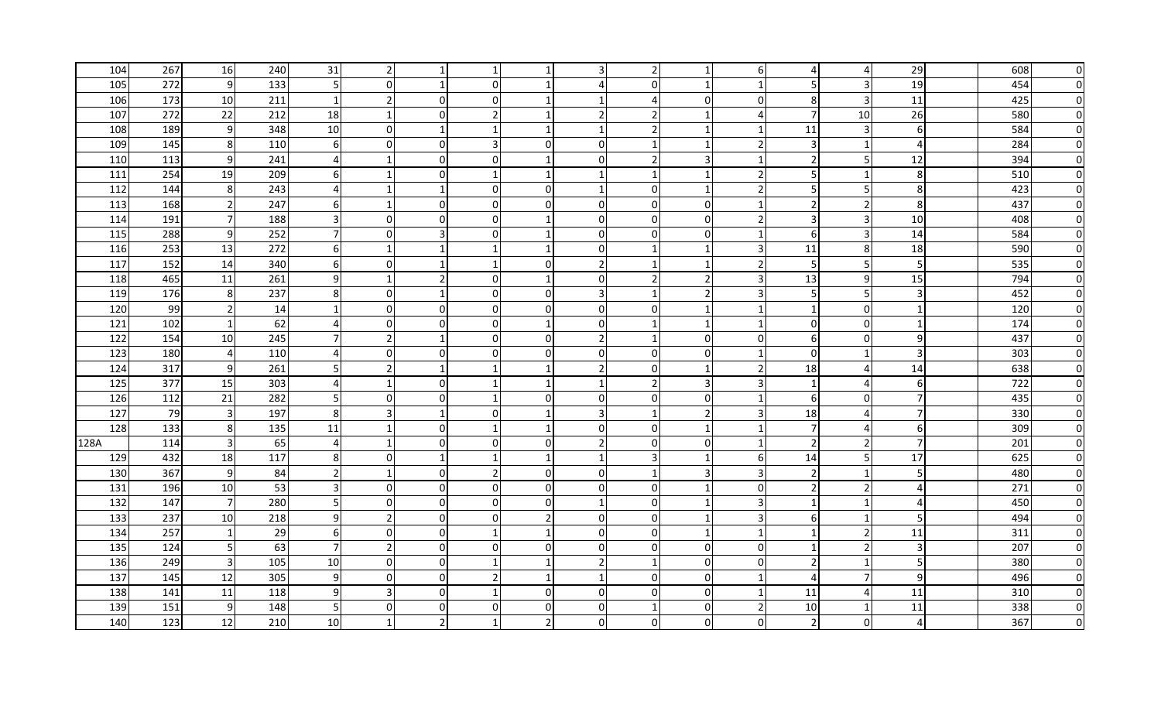| 104  | 267 | 16                      | 240 | 31                      | 2              |                |                |                          |                |               |                          | 6                        |                | 4              | 29               | 608 | 0        |
|------|-----|-------------------------|-----|-------------------------|----------------|----------------|----------------|--------------------------|----------------|---------------|--------------------------|--------------------------|----------------|----------------|------------------|-----|----------|
| 105  | 272 | 9                       | 133 | $5 \,$                  | $\Omega$       |                | 0              |                          | 4              |               | -1                       |                          | .5             | 3              | 19               | 454 | O        |
| 106  | 173 | 10                      | 211 | $\mathbf{1}$            | $\overline{2}$ | $\overline{0}$ | 0              |                          |                |               | $\mathbf{0}$             | $\Omega$                 | 8              | $\overline{3}$ | 11               | 425 |          |
| 107  | 272 | 22                      | 212 | 18                      | 1              | $\Omega$       | 2              |                          | $\overline{2}$ |               | -1                       | 4                        | $\overline{7}$ | 10             | 26               | 580 |          |
| 108  | 189 | 9                       | 348 | 10                      | $\overline{0}$ | $\mathbf 1$    |                |                          |                |               | -1                       |                          | 11             | 3              | 6                | 584 |          |
| 109  | 145 | 8 <sup>1</sup>          | 110 | $6 \mid$                | $\Omega$       | $\overline{0}$ | 3              | $\Omega$                 | $\overline{0}$ |               | -1                       | $\overline{2}$           | 3              | 1              | $\overline{4}$   | 284 |          |
| 110  | 113 | 9                       | 241 | $\overline{4}$          | -1             | $\overline{0}$ | 0              | -1                       | $\Omega$       |               | 3                        |                          | 2              | 5              | 12               | 394 |          |
| 111  | 254 | 19                      | 209 | $6 \mid$                |                | $\Omega$       |                |                          |                |               | -1                       | $\overline{\phantom{a}}$ | 5              | 1              | 8                | 510 |          |
| 112  | 144 | 8 <sup>°</sup>          | 243 | $\overline{4}$          |                |                | 0              | $\overline{0}$           |                | $\Omega$      | -1                       | $\overline{2}$           | 5              | 5              | 8                | 423 |          |
| 113  | 168 | $\overline{2}$          | 247 | $6 \mid$                | $\mathbf{1}$   | $\overline{0}$ | $\overline{0}$ | $\Omega$                 | $\Omega$       | $\mathbf{0}$  | $\overline{0}$           | -1                       | $\overline{2}$ | $\overline{2}$ | 8                | 437 |          |
| 114  | 191 | $\overline{7}$          | 188 | $\overline{\mathbf{3}}$ | $\Omega$       | $\Omega$       | $\mathbf 0$    |                          | $\Omega$       | $\Omega$      | $\Omega$                 | $\overline{2}$           | $\overline{3}$ | $\overline{3}$ | 10               | 408 |          |
| 115  | 288 | 9                       | 252 | 71                      | $\Omega$       | 3              | $\Omega$       |                          | $\Omega$       | $\Omega$      | $\Omega$                 | $\overline{\mathbf{1}}$  | 6              | $\overline{3}$ | 14               | 584 | $\Omega$ |
| 116  | 253 | 13                      | 272 | 6                       | $\mathbf{1}$   |                |                |                          | $\Omega$       |               | -1                       | 3                        | 11             | 8 <sup>1</sup> | 18               | 590 | $\Omega$ |
| 117  | 152 | 14                      | 340 | $6 \mid$                | $\Omega$       |                | $\mathbf 1$    | $\Omega$                 | $\overline{2}$ |               | -1                       | $\overline{\phantom{a}}$ | 5              | 5              | 5 <sup>1</sup>   | 535 | $\Omega$ |
| 118  | 465 | 11                      | 261 | 9                       | $\mathbf{1}$   | $\overline{2}$ | 0              | -1                       | $\Omega$       | $\mathcal{P}$ | $\overline{\phantom{a}}$ | 3                        | 13             | $\overline{9}$ | 15               | 794 | O        |
| 119  | 176 | 8 <sup>1</sup>          | 237 | 8 <sup>1</sup>          | $\Omega$       |                | 0              | $\overline{0}$           | 3              |               | $\overline{\phantom{a}}$ | 3                        | 5              | 5              | $\overline{3}$   | 452 | n        |
| 120  | 99  | $\overline{2}$          | 14  | $\mathbf{1}$            | 0              | $\overline{0}$ | $\overline{0}$ | $\Omega$                 | $\overline{0}$ | 0             | -1                       | -1                       | 1              | $\overline{0}$ | $\mathbf{1}$     | 120 | O        |
| 121  | 102 | $\mathbf{1}$            | 62  | $\overline{4}$          | $\Omega$       | $\Omega$       | $\overline{0}$ | 1                        | $\Omega$       |               | -1                       | -1                       | 0              | $\overline{0}$ | $\mathbf{1}$     | 174 | O        |
| 122  | 154 | 10 <sup>1</sup>         | 245 | 7                       | 2              |                | 0              | $\Omega$                 | $\mathcal{P}$  |               | 0 I                      | $\Omega$                 | 6              | $\overline{0}$ | 9                | 437 |          |
| 123  | 180 | $\overline{4}$          | 110 | $\overline{4}$          | 0              | 0              | 0              | $\overline{0}$           | $\Omega$       |               | $\overline{0}$           |                          | 0              | 1              | 3                | 303 |          |
| 124  | 317 | 9                       | 261 | 5                       | $\overline{2}$ |                |                | 1                        | $\overline{2}$ | $\Omega$      | -1                       | $\overline{2}$           | 18             | 4              | 14               | 638 |          |
| 125  | 377 | 15                      | 303 | $\overline{4}$          | -1             | $\mathbf 0$    |                |                          |                |               | 3                        | 3                        | 1              | 4              | $6 \overline{6}$ | 722 |          |
| 126  | 112 | 21                      | 282 | 5                       | $\Omega$       | $\Omega$       |                | $\Omega$                 | $\Omega$       | $\Omega$      | $\Omega$                 |                          | 6              | $\overline{0}$ | $\overline{7}$   | 435 |          |
| 127  | 79  | $\overline{\mathbf{3}}$ | 197 | 8 <sup>1</sup>          | 3              |                | 0              |                          | R              |               | $\mathcal{P}$            | 3                        | 18             | 4              | $\overline{7}$   | 330 |          |
| 128  | 133 | 8 <sup>°</sup>          | 135 | 11                      |                | 0              |                |                          | $\Omega$       |               | -1                       |                          | $\overline{7}$ | 4              | 6 <sup>1</sup>   | 309 |          |
| 128A | 114 | $\overline{3}$          | 65  | 4 <sup>1</sup>          | -1             | $\mathbf 0$    | 0              | $\overline{0}$           | $\overline{2}$ | $\Omega$      | $\mathbf 0$              |                          | 2              | $\overline{2}$ | $\overline{7}$   | 201 |          |
| 129  | 432 | 18                      | 117 | 8 <sup>1</sup>          | $\Omega$       |                |                |                          |                |               | -1                       | -6                       | 14             | 5              | 17               | 625 |          |
| 130  | 367 | 9                       | 84  | $\overline{2}$          | -1             | $\overline{0}$ | 2              | $\overline{0}$           | $\overline{0}$ |               | 3                        | 3                        | $\overline{2}$ | $\mathbf{1}$   | 5 <sup>1</sup>   | 480 |          |
| 131  | 196 | 10                      | 53  | 3 <sup>l</sup>          | $\overline{0}$ | $\overline{0}$ | $\overline{0}$ | $\overline{0}$           | $\overline{0}$ | $\Omega$      | $\mathbf{1}$             | 0                        | $\overline{2}$ | $\overline{2}$ | $\overline{4}$   | 271 |          |
| 132  | 147 | $\overline{7}$          | 280 | 5 <sub>l</sub>          | 0              | $\overline{0}$ | 0              | $\Omega$                 |                | $\Omega$      | -1                       | 3                        | 1              | 1              | $\overline{4}$   | 450 |          |
| 133  | 237 | 10                      | 218 | 9                       | $\overline{2}$ | 0              | $\Omega$       | $\overline{\phantom{a}}$ | $\Omega$       | $\Omega$      | -1                       | $\overline{3}$           | 6              | $\mathbf{1}$   | 5                | 494 |          |
| 134  | 257 | $\mathbf{1}$            | 29  | $6 \mid$                | $\overline{0}$ | $\mathbf 0$    |                | $\mathbf 1$              | $\overline{0}$ | $\mathbf{0}$  | -1                       |                          | $\mathbf{1}$   | $\mathbf 2$    | 11               | 311 |          |
| 135  | 124 | 5                       | 63  | 7 <sup>1</sup>          | $\overline{2}$ | $\overline{0}$ | $\mathbf 0$    | $\Omega$                 | $\Omega$       | $\mathbf{0}$  | $\overline{0}$           | $\Omega$                 | 1              | $\overline{2}$ | $\overline{3}$   | 207 |          |
| 136  | 249 | $\overline{3}$          | 105 | 10                      | $\Omega$       | $\Omega$       |                |                          | $\overline{2}$ |               | $\Omega$                 | $\Omega$                 | $\overline{2}$ | $\mathbf{1}$   | 5 <sup>1</sup>   | 380 |          |
| 137  | 145 | 12                      | 305 | 9                       | $\Omega$       | $\Omega$       | $\overline{2}$ |                          |                |               | $\Omega$                 | $\mathbf{1}$             | 4              | $\overline{7}$ | 9                | 496 | O        |
| 138  | 141 | 11                      | 118 | 9                       | 3              | $\Omega$       | $\mathbf 1$    | $\Omega$                 | $\Omega$       |               | 0                        |                          | 11             | 4              | 11               | 310 | O        |
| 139  | 151 | 9                       | 148 | 5 <sup>1</sup>          | $\Omega$       | $\Omega$       | 0              | $\Omega$                 | $\Omega$       |               | $\Omega$                 | $\overline{2}$           | 10             | 1              | 11               | 338 |          |
| 140  | 123 | 12                      | 210 | 10                      |                | $\mathcal{P}$  |                |                          | ΩI             |               | 0                        | 0                        | $\overline{2}$ | $\overline{0}$ | $\overline{4}$   | 367 |          |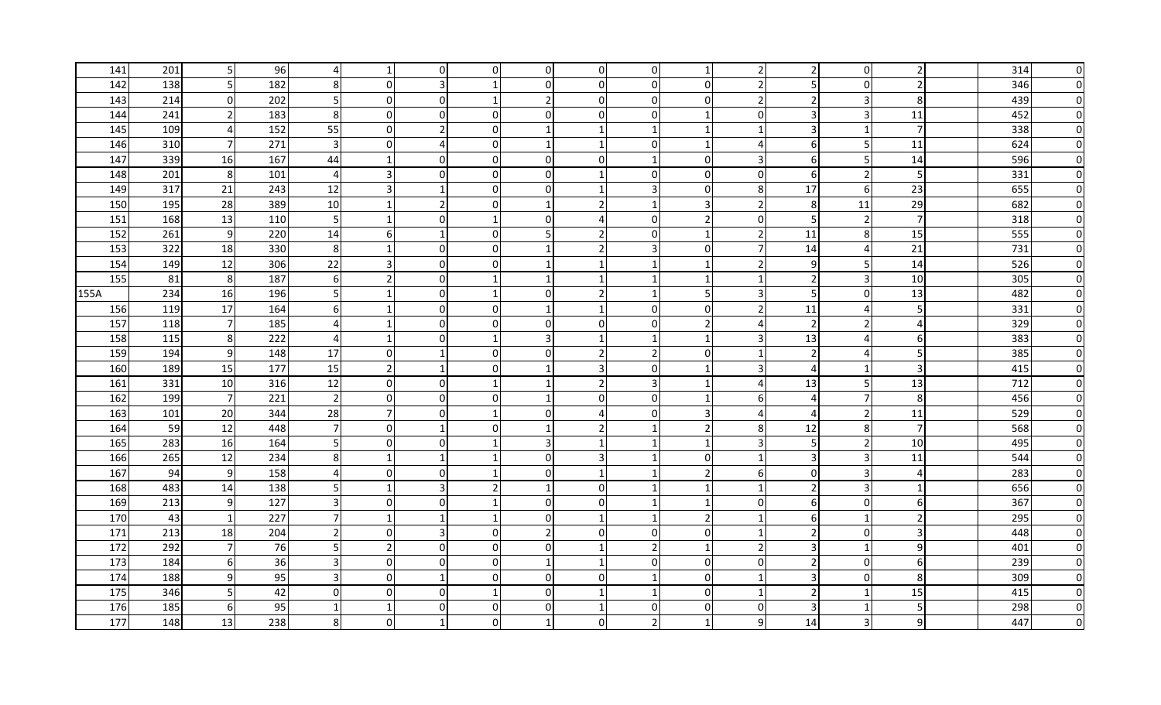| 141  | 201 | 5               | 96  |                         |                | $\overline{0}$ | 0              | $\overline{0}$ | 01             |               |                          | 2                        |                | $\overline{0}$ | $\overline{2}$   | 314 | 0        |
|------|-----|-----------------|-----|-------------------------|----------------|----------------|----------------|----------------|----------------|---------------|--------------------------|--------------------------|----------------|----------------|------------------|-----|----------|
| 142  | 138 | 5 <sub>l</sub>  | 182 | 8                       | $\Omega$       | 3              |                | $\Omega$       | $\Omega$       |               | $\mathbf{0}$             | $\overline{2}$           | .5             | $\overline{0}$ | $\overline{2}$   | 346 | $\Omega$ |
| 143  | 214 | $\overline{0}$  | 202 | 5 <sub>l</sub>          | $\Omega$       | $\overline{0}$ | 1              | $\overline{2}$ | $\overline{0}$ | 0             | $\Omega$                 | $\overline{2}$           | 2              | 3              | 8 <sup>°</sup>   | 439 | O        |
| 144  | 241 | $\overline{2}$  | 183 | 8 <sup>1</sup>          | $\Omega$       | $\Omega$       | 0              | $\Omega$       | $\Omega$       | $\Omega$      | -1                       | $\Omega$                 | 3              | 3              | 11               | 452 |          |
| 145  | 109 | 4               | 152 | 55                      | $\overline{0}$ | $\overline{2}$ | $\overline{0}$ |                |                |               | -1                       | -1                       | $\mathsf{3}$   | $\mathbf{1}$   | $\overline{7}$   | 338 |          |
| 146  | 310 | $7\overline{}$  | 271 | $\overline{\mathbf{3}}$ | $\Omega$       |                | $\overline{0}$ |                |                | $\Omega$      | $\overline{\mathbf{1}}$  | $\overline{4}$           | 6              | 5              | 11               | 624 |          |
| 147  | 339 | 16              | 167 | 44                      | $\mathbf 1$    | $\Omega$       | $\overline{0}$ | $\Omega$       | $\Omega$       |               | $\Omega$                 | 3                        | 6              | 5              | 14               | 596 |          |
| 148  | 201 | 8               | 101 | $\overline{4}$          | 3              | $\Omega$       | 0              | $\Omega$       |                |               | $\Omega$                 | $\Omega$                 | 6              | $\mathbf 2$    | 5                | 331 |          |
| 149  | 317 | 21              | 243 | 12                      | 3              |                | 0              | $\overline{0}$ |                |               | $\overline{0}$           | 8                        | 17             | 6 <sup>1</sup> | 23               | 655 |          |
| 150  | 195 | 28              | 389 | 10                      | $\overline{1}$ | $\overline{2}$ | $\mathbf 0$    | $\mathbf{1}$   | $\overline{2}$ |               | 3                        | $\overline{2}$           | 8              | 11             | 29               | 682 |          |
| 151  | 168 | 13              | 110 | 5 <sub>l</sub>          | $\overline{1}$ | $\Omega$       | $\mathbf 1$    | $\Omega$       | 4              | $\Omega$      | $\overline{\phantom{a}}$ | $\Omega$                 | 5              | $\overline{2}$ | $\overline{7}$   | 318 | O        |
| 152  | 261 | 9               | 220 | 14                      | 6              | $\mathbf{1}$   | 0              | 5              | $\overline{2}$ | <sup>0</sup>  | -1                       | $\overline{2}$           | 11             | 8 <sup>1</sup> | 15               | 555 | $\Omega$ |
| 153  | 322 | 18              | 330 | 8 <sup>1</sup>          | $\mathbf{1}$   | $\Omega$       | $\mathbf 0$    |                | $\overline{2}$ |               | 0                        | 7                        | 14             | 4              | 21               | 731 | $\Omega$ |
| 154  | 149 | 12              | 306 | 22                      | 3              | $\overline{0}$ | $\mathbf 0$    |                |                |               | -1                       | $\overline{\phantom{a}}$ | 9              | 5 <sup>1</sup> | 14               | 526 | $\Omega$ |
| 155  | 81  | $8 \,$          | 187 | 61                      | $\mathcal{P}$  | $\overline{0}$ | 1              |                |                |               | -1                       | -1                       | 2              | $\overline{3}$ | 10               | 305 | O        |
| 155A | 234 | 16              | 196 | $5 \,$                  |                | $\overline{0}$ | 1              | $\overline{0}$ | $\overline{2}$ |               | 5                        | 3                        | 5              | $\overline{0}$ | 13               | 482 | n        |
| 156  | 119 | 17              | 164 | $6 \mid$                |                | $\overline{0}$ | 0              |                |                | $\Omega$      | $\overline{0}$           | $\overline{2}$           | 11             | 4              | 5                | 331 | O        |
| 157  | 118 | $7\overline{ }$ | 185 | 4 <sup>1</sup>          |                | $\overline{0}$ | $\overline{0}$ | $\Omega$       | $\Omega$       |               | $\overline{z}$           | 4                        | $\overline{2}$ | $\overline{2}$ | $\overline{4}$   | 329 | O        |
| 158  | 115 | 8               | 222 | 4 <sup>1</sup>          | -1             | $\Omega$       |                | 3              |                |               | -1                       | 3                        | 13             | 4              | $6 \mid$         | 383 |          |
| 159  | 194 | 9               | 148 | 17                      | 0              |                | 0              | $\overline{0}$ | $\mathcal{P}$  |               | $\overline{0}$           |                          | 2              | 4              | 5 <sup>1</sup>   | 385 | O        |
| 160  | 189 | 15              | 177 | 15                      | $\overline{2}$ |                | $\mathbf 0$    | 1              | 3              | $\Omega$      | -1                       | 3                        | 4              | 1              | $\overline{3}$   | 415 |          |
| 161  | 331 | 10              | 316 | 12                      | 0              | $\overline{0}$ |                |                | $\overline{2}$ |               | -1                       | 4                        | 13             | 5 <sub>l</sub> | 13               | 712 | O        |
| 162  | 199 | $\overline{7}$  | 221 | $\overline{2}$          | $\overline{0}$ | $\overline{0}$ | $\Omega$       |                | $\Omega$       | $\Omega$      | -1                       | -6                       | 4              | 7              | 8                | 456 | O        |
| 163  | 101 | 20              | 344 | 28                      | $\overline{7}$ | $\overline{0}$ |                | $\overline{0}$ | 4              |               | 3                        | 4                        | $\overline{a}$ | $\overline{2}$ | 11               | 529 |          |
| 164  | 59  | 12              | 448 | 71                      | $\overline{0}$ |                | 0              |                | 21             |               | $\overline{2}$           | 8                        | 12             | 8 <sup>1</sup> | $\overline{7}$   | 568 |          |
| 165  | 283 | 16              | 164 | 5 <sub>l</sub>          | $\Omega$       | $\Omega$       |                | 3              |                |               | -1                       | 3                        | 5              | $\overline{2}$ | 10               | 495 |          |
| 166  | 265 | 12              | 234 | 8 <sup>1</sup>          | -1             |                |                | $\Omega$       | 3              |               | $\overline{0}$           | -1                       | 3              | 3              | 11               | 544 |          |
| 167  | 94  | 9               | 158 | $\overline{4}$          | 0              | $\mathbf 0$    |                | $\overline{0}$ |                |               | $\overline{2}$           | 6                        | 0              | 3              | $\overline{4}$   | 283 |          |
| 168  | 483 | 14              | 138 | 5                       | $\mathbf{1}$   | 3              | 2              |                | $\overline{0}$ |               | -1                       |                          | $\overline{2}$ | 3              | $\mathbf{1}$     | 656 |          |
| 169  | 213 | 9               | 127 | $\overline{3}$          | 0              | $\overline{0}$ |                | $\Omega$       | $\Omega$       |               | -1                       | 0                        | 6              | $\overline{0}$ | 6                | 367 |          |
| 170  | 43  | $\mathbf{1}$    | 227 | 7 <sup>1</sup>          | -1             |                |                | $\Omega$       |                |               | $\overline{z}$           |                          | 6              | $\mathbf{1}$   | $\overline{2}$   | 295 |          |
| 171  | 213 | 18              | 204 | $\overline{2}$          | 0              | $\overline{3}$ | 0              | $\overline{2}$ | $\overline{0}$ | $\mathbf{0}$  | $\overline{0}$           |                          | $\overline{2}$ | $\overline{0}$ | 3                | 448 |          |
| 172  | 292 | $\overline{7}$  | 76  | 5                       | $\overline{2}$ | $\overline{0}$ | $\overline{0}$ | $\Omega$       |                | $\mathcal{P}$ | $\overline{1}$           | $\overline{2}$           | 3              | $\mathbf{1}$   | 9                | 401 |          |
| 173  | 184 | 6               | 36  | $\overline{3}$          | $\Omega$       | $\Omega$       | $\Omega$       | $\mathbf 1$    |                | $\Omega$      | $\Omega$                 | $\Omega$                 | $\overline{2}$ | $\overline{0}$ | $6 \overline{6}$ | 239 |          |
| 174  | 188 | $9\,$           | 95  | $\overline{3}$          | $\Omega$       | $\mathbf 1$    | $\Omega$       | $\Omega$       | $\Omega$       |               | $\Omega$                 | $\mathbf{1}$             | 3              | $\overline{0}$ | 8                | 309 | O        |
| 175  | 346 | 5 <sup>1</sup>  | 42  | 01                      | $\Omega$       | $\Omega$       |                | $\Omega$       |                |               | $\Omega$                 |                          | $\overline{2}$ | $\mathbf{1}$   | 15               | 415 | 0        |
| 176  | 185 | 6               | 95  |                         | $\mathbf{1}$   | $\Omega$       | 0              | $\Omega$       |                |               | $\Omega$                 | $\Omega$                 | 3              | $\mathbf 1$    | 5 <sup>1</sup>   | 298 | O        |
| 177  | 148 | 13              | 238 | 8                       | ∩              |                | $\Omega$       |                | U              |               | -1                       | 9                        | 14             | $\overline{3}$ | $\overline{9}$   | 447 |          |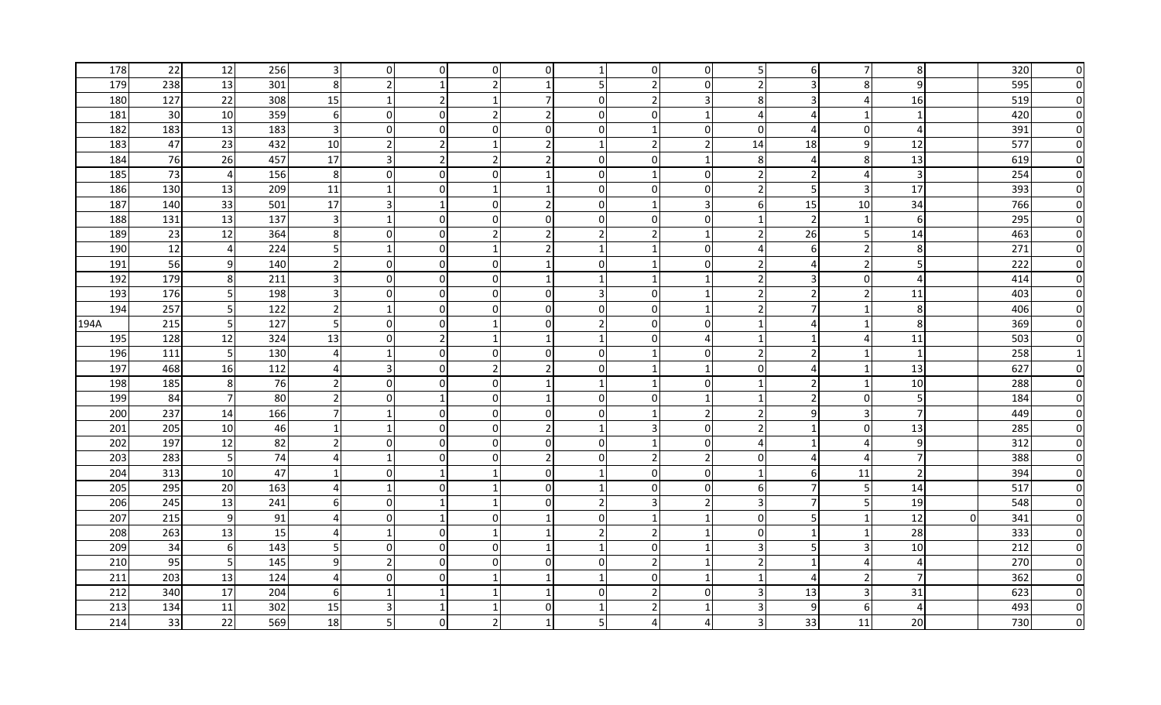| 178  | 22  | 12              | 256 | $\overline{\mathbf{3}}$ | 0                        | $\overline{0}$ | 0              | $\overline{0}$ |                |          | $\overline{0}$          | 5                        | 6              | 7              | 8                |          | 320 | 0        |
|------|-----|-----------------|-----|-------------------------|--------------------------|----------------|----------------|----------------|----------------|----------|-------------------------|--------------------------|----------------|----------------|------------------|----------|-----|----------|
| 179  | 238 | 13              | 301 | 8                       | $\overline{2}$           |                | 2              |                |                |          | $\mathbf{0}$            | $\overline{2}$           | 3              | 8 <sup>1</sup> | 9                |          | 595 | O        |
| 180  | 127 | 22              | 308 | 15                      | 1                        | $\overline{2}$ |                | 7              | $\overline{0}$ |          | $\overline{3}$          | 8                        | 3              | 4              | 16               |          | 519 |          |
| 181  | 30  | 10              | 359 | $6 \mid$                | 0                        | $\Omega$       | 2              | 2              | $\Omega$       | $\Omega$ | -1                      | 4                        | 4              | -1             | $\mathbf{1}$     |          | 420 |          |
| 182  | 183 | 13              | 183 | $\overline{\mathbf{3}}$ | 0                        | $\overline{0}$ | 0              | $\overline{0}$ | $\overline{0}$ |          | $\overline{0}$          | $\mathbf 0$              | $\Delta$       | $\overline{0}$ | $\overline{4}$   |          | 391 |          |
| 183  | 47  | 23              | 432 | 10                      | 2                        | $\overline{2}$ | $\mathbf{1}$   | 2              |                |          | $\overline{z}$          | 14                       | 18             | $\overline{9}$ | 12               |          | 577 |          |
| 184  | 76  | 26              | 457 | 17                      | 3                        | $\overline{2}$ | 2              | $\overline{2}$ | $\Omega$       | $\Omega$ | -1                      | -8                       | 4              | 8 <sup>1</sup> | 13               |          | 619 |          |
| 185  | 73  | $\overline{4}$  | 156 | 8 <sup>1</sup>          | $\Omega$                 | $\Omega$       | 0              |                | $\Omega$       |          | $\Omega$                | $\overline{\phantom{a}}$ |                | 4              | $\overline{3}$   |          | 254 |          |
| 186  | 130 | 13              | 209 | 11                      | -1                       | $\mathbf 0$    |                |                | $\overline{0}$ | $\Omega$ | $\overline{0}$          | $\overline{2}$           | 5              | 3              | 17               |          | 393 |          |
| 187  | 140 | 33              | 501 | 17                      | $\overline{3}$           | $\mathbf{1}$   | $\mathbf 0$    | $\mathcal{P}$  | $\Omega$       |          | 3                       | 6                        | 15             | 10             | 34               |          | 766 |          |
| 188  | 131 | 13              | 137 | $\overline{\mathbf{3}}$ | $\mathbf{1}$             | $\Omega$       | $\mathbf 0$    | $\Omega$       | $\Omega$       | $\Omega$ | $\Omega$                | -1                       | $\overline{2}$ | $\mathbf{1}$   | $6 \overline{6}$ |          | 295 |          |
| 189  | 23  | 12              | 364 | 8 <sup>1</sup>          | $\Omega$                 | $\Omega$       | 2              | $\overline{2}$ | $\overline{2}$ |          | -1                      | $\overline{2}$           | 26             | 5              | 14               |          | 463 | $\Omega$ |
| 190  | 12  | $\overline{4}$  | 224 | 5                       | $\mathbf{1}$             | $\overline{0}$ | $\mathbf 1$    | $\overline{2}$ |                |          | 0                       | 4                        | 6              | $\mathbf 2$    | 8                |          | 271 | $\Omega$ |
| 191  | 56  | 9               | 140 | <b>21</b>               | $\Omega$                 | $\overline{0}$ | $\mathbf 0$    | $\mathbf 1$    | $\Omega$       |          | $\mathbf{0}$            | $\overline{2}$           | $\overline{4}$ | $\overline{2}$ | 5 <sup>1</sup>   |          | 222 | $\Omega$ |
| 192  | 179 | 8               | 211 | 31                      | <sup>0</sup>             | $\overline{0}$ | 0              | -1             |                |          | -1                      | $\overline{2}$           | 3              | $\overline{0}$ | $\overline{4}$   |          | 414 | O        |
| 193  | 176 | 5 <sub>l</sub>  | 198 | 3 <sup>l</sup>          | <sup>0</sup>             | $\overline{0}$ | 0              | $\overline{0}$ | 3              | $\Omega$ | -1                      | $\overline{2}$           | 2              | $\overline{2}$ | 11               |          | 403 | n        |
| 194  | 257 | 5 <sub>l</sub>  | 122 | $\overline{2}$          | -1                       | $\overline{0}$ | $\mathbf 0$    | $\Omega$       | 0              | 0        | -1                      | $\overline{2}$           | 7              | $\mathbf{1}$   | 8                |          | 406 |          |
| 194A | 215 | 5 <sub>l</sub>  | 127 | 5 <sub>l</sub>          | $\Omega$                 | $\overline{0}$ | 1              | $\Omega$       | $\overline{2}$ | $\Omega$ | $\overline{0}$          | -1                       | 4              | 1              | 8                |          | 369 |          |
| 195  | 128 | 12              | 324 | 13                      | 0                        | 2              |                | -1             |                |          | 4                       |                          | -1             | 4              | 11               |          | 503 |          |
| 196  | 111 | 5               | 130 | $\overline{4}$          |                          | $\mathbf 0$    | 0              | $\overline{0}$ | 0              |          | $\mathbf 0$             | $\overline{2}$           |                | $\mathbf{1}$   | $\mathbf{1}$     |          | 258 |          |
| 197  | 468 | 16              | 112 | $\overline{4}$          | 3                        | $\overline{0}$ | $\overline{2}$ | $\overline{2}$ | $\Omega$       |          | -1                      | 0                        | 4              | $\mathbf{1}$   | 13               |          | 627 |          |
| 198  | 185 | 8 <sup>°</sup>  | 76  | <b>21</b>               | 0                        | $\mathbf 0$    | $\mathbf 0$    |                |                |          | 0                       |                          | 2              | $\mathbf{1}$   | 10               |          | 288 |          |
| 199  | 84  | $\overline{7}$  | 80  | $\overline{2}$          | $\Omega$                 |                | 0              |                | $\Omega$       | $\Omega$ | -1                      |                          | $\overline{2}$ | $\overline{0}$ | 5 <sup>1</sup>   |          | 184 |          |
| 200  | 237 | 14              | 166 |                         |                          | $\overline{0}$ | 0              | $\overline{0}$ | 0              |          | $\mathcal{P}$           | $\overline{2}$           | 9              | 3              | $\overline{7}$   |          | 449 |          |
| 201  | 205 | 10              | 46  |                         | -1                       | 0              | 0              | 2              |                |          | $\overline{0}$          | $\overline{2}$           | $\mathbf{1}$   | $\overline{0}$ | 13               |          | 285 |          |
| 202  | 197 | 12              | 82  | 21                      | 0I                       | $\overline{0}$ | 0              | $\overline{0}$ | $\overline{0}$ |          | $\Omega$                | 4                        | -1             | 4              | $\overline{9}$   |          | 312 |          |
| 203  | 283 | 5 <sub>l</sub>  | 74  | $\overline{4}$          | -1                       | $\Omega$       | 0              | $\overline{2}$ | $\Omega$       | 2        | 2                       | $\Omega$                 | 4              | 4              | $\overline{7}$   |          | 388 |          |
| 204  | 313 | 10              | 47  |                         | 0                        |                |                | $\overline{0}$ |                | $\Omega$ | $\overline{0}$          | -1                       | 6              | 11             | $\overline{2}$   |          | 394 |          |
| 205  | 295 | 20              | 163 | $\overline{4}$          | $\mathbf{1}$             | $\overline{0}$ |                | $\overline{0}$ |                | $\Omega$ | $\Omega$                | 6                        | 7              | 5              | 14               |          | 517 |          |
| 206  | 245 | 13              | 241 | -61                     | 0                        |                |                | $\Omega$       | 2 <sub>l</sub> |          | $\overline{2}$          | 3                        | 7              | 5              | 19               |          | 548 |          |
| 207  | 215 | 9               | 91  | $\overline{4}$          | $\Omega$                 |                | $\Omega$       |                | $\Omega$       |          | -1                      | $\Omega$                 | 5              | 1              | 12               | $\Omega$ | 341 |          |
| 208  | 263 | 13              | 15  | $\overline{4}$          | -1                       | $\mathbf 0$    |                | $\mathbf 1$    | $\overline{2}$ |          | -1                      | 0                        | $\mathbf{1}$   | $\mathbf{1}$   | 28               |          | 333 |          |
| 209  | 34  | 6               | 143 | 5                       | $\Omega$                 | $\overline{0}$ | $\mathbf 0$    | $\mathbf{1}$   |                | $\Omega$ | $\overline{\mathbf{1}}$ | 3                        | 5              | 3              | 10               |          | 212 |          |
| 210  | 95  | $5\phantom{.}$  | 145 | $\overline{9}$          | $\overline{\phantom{a}}$ | $\Omega$       | $\Omega$       | $\Omega$       | $\Omega$       |          | -1                      | $\overline{2}$           | $\mathbf{1}$   | 4              | $\overline{4}$   |          | 270 |          |
| 211  | 203 | 13              | 124 | $\overline{4}$          | $\Omega$                 | $\Omega$       |                |                |                |          | -1                      | $\mathbf{1}$             | $\overline{a}$ | $\overline{2}$ | $\overline{7}$   |          | 362 | O        |
| 212  | 340 | 17 <sup>1</sup> | 204 | 61                      | $\mathbf 1$              |                |                |                | 0              |          | $\Omega$                | 3                        | 13             | 3              | 31               |          | 623 | O        |
| 213  | 134 | 11              | 302 | 15                      | 3                        |                |                | $\Omega$       |                |          | -1                      | 3                        | 9              | 6              | $\overline{4}$   |          | 493 |          |
| 214  | 33  | 22              | 569 | 18                      | 5                        | $\Omega$       | 2              |                |                |          |                         | 3                        | 33             | 11             | 20               |          | 730 |          |